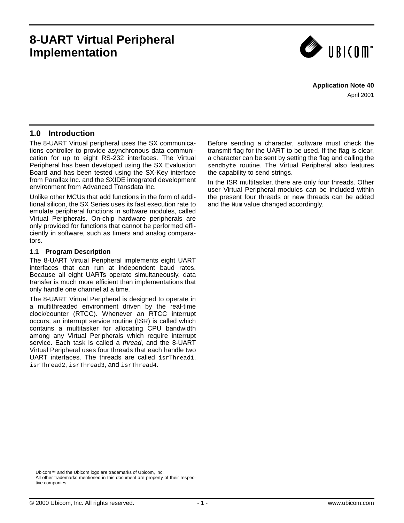# **8-UART Virtual Peripheral Implementation**



## **Application Note 40**

April 2001

# **1.0 Introduction**

The 8-UART Virtual peripheral uses the SX communications controller to provide asynchronous data communication for up to eight RS-232 interfaces. The Virtual Peripheral has been developed using the SX Evaluation Board and has been tested using the SX-Key interface from Parallax Inc. and the SXIDE integrated development environment from Advanced Transdata Inc.

Unlike other MCUs that add functions in the form of additional silicon, the SX Series uses its fast execution rate to emulate peripheral functions in software modules, called Virtual Peripherals. On-chip hardware peripherals are only provided for functions that cannot be performed efficiently in software, such as timers and analog comparators.

### **1.1 Program Description**

The 8-UART Virtual Peripheral implements eight UART interfaces that can run at independent baud rates. Because all eight UARTs operate simultaneously, data transfer is much more efficient than implementations that only handle one channel at a time.

The 8-UART Virtual Peripheral is designed to operate in a multithreaded environment driven by the real-time clock/counter (RTCC). Whenever an RTCC interrupt occurs, an interrupt service routine (ISR) is called which contains a multitasker for allocating CPU bandwidth among any Virtual Peripherals which require interrupt service. Each task is called a *thread*, and the 8-UART Virtual Peripheral uses four threads that each handle two UART interfaces. The threads are called isrThread1, isrThread2, isrThread3, and isrThread4.

Before sending a character, software must check the transmit flag for the UART to be used. If the flag is clear, a character can be sent by setting the flag and calling the sendbyte routine. The Virtual Peripheral also features the capability to send strings.

In the ISR multitasker, there are only four threads. Other user Virtual Peripheral modules can be included within the present four threads or new threads can be added and the Num value changed accordingly.

Ubicom™ and the Ubicom logo are trademarks of Ubicom, Inc. All other trademarks mentioned in this document are property of their respective componies.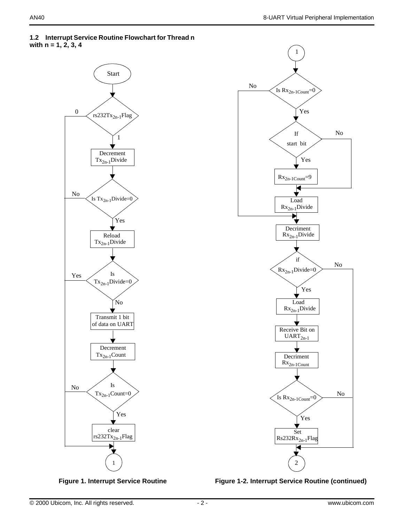







**Figure 1-2. Interrupt Service Routine (continued)**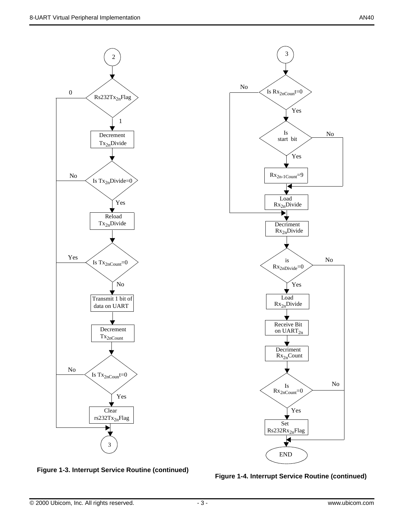



**Figure 1-3. Interrupt Service Routine (continued)**

**Figure 1-4. Interrupt Service Routine (continued)**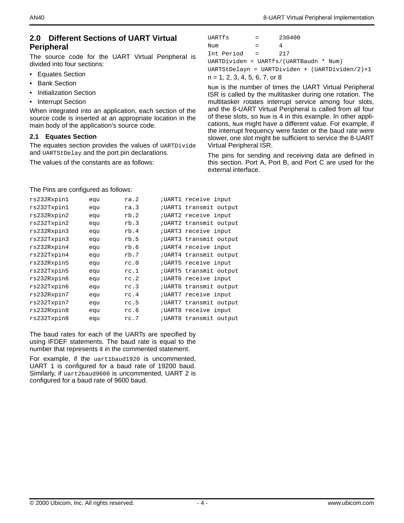## **2.0 Different Sections of UART Virtual Peripheral**

The source code for the UART Virtual Peripheral is divided into four sections:

- Equates Section
- Bank Section
- Initialization Section
- Interrupt Section

When integrated into an application, each section of the source code is inserted at an appropriate location in the main body of the application's source code.

### **2.1 Equates Section**

The equates section provides the values of UARTDivide and UARTStDelay and the port pin declarations.

The values of the constants are as follows:

| UARTfs                          | $=$ $-$ | 230400                                             |
|---------------------------------|---------|----------------------------------------------------|
| Num                             | $=$     | 4                                                  |
| Int Period =                    |         | 217                                                |
|                                 |         | UARTDividen = UARTfs/(UARTBaudn * Num)             |
|                                 |         | $UARTStDelayn = UARTDividen + (UARTDividen/2) + 1$ |
| $n = 1, 2, 3, 4, 5, 6, 7, or 8$ |         |                                                    |

Num is the number of times the UART Virtual Peripheral ISR is called by the multitasker during one rotation. The multitasker rotates interrupt service among four slots, and the 8-UART Virtual Peripheral is called from all four of these slots, so Num is 4 in this example. In other applications, Num might have a different value. For example, if the interrupt frequency were faster or the baud rate were slower, one slot might be sufficient to service the 8-UART Virtual Peripheral ISR.

The pins for sending and receiving data are defined in this section. Port A, Port B, and Port C are used for the external interface.

#### The Pins are configured as follows:

| rs232Rxpin1 | equ | ra.2 | UART1 receive input   |                         |  |
|-------------|-----|------|-----------------------|-------------------------|--|
| rs232Txpin1 | equ | ra.3 |                       | ;UART1 transmit output  |  |
| rs232Rxpin2 | equ | rb.2 | ; UART2 receive input |                         |  |
| rs232Txpin2 | equ | rb.3 |                       | ;UART2 transmit output  |  |
| rs232Rxpin3 | equ | rb.4 | ; UART3 receive input |                         |  |
| rs232Txpin3 | equ | rb.5 |                       | ;UART3 transmit output  |  |
| rs232Rxpin4 | equ | rb.6 | ; UART4 receive input |                         |  |
| rs232Txpin4 | equ | rb.7 |                       | ; UART4 transmit output |  |
| rs232Rxpin5 | equ | rc.0 | ; UART5 receive input |                         |  |
| rs232Txpin5 | equ | rc.1 |                       | ; UART5 transmit output |  |
| rs232Rxpin6 | equ | rc.2 | ; UART6 receive input |                         |  |
| rs232Txpin6 | equ | rc.3 |                       | ; UART6 transmit output |  |
| rs232Rxpin7 | equ | rc.4 | ; UART7 receive input |                         |  |
| rs232Txpin7 | equ | rc.5 |                       | ;UART7 transmit output  |  |
| rs232Rxpin8 | equ | rc.6 | ; UART8 receive input |                         |  |
| rs232Txpin8 | equ | rc.7 |                       | ;UART8 transmit output  |  |

The baud rates for each of the UARTs are specified by using IFDEF statements. The baud rate is equal to the number that represents it in the commented statement.

For example, if the uart1baud1920 is uncommented, UART 1 is configured for a baud rate of 19200 baud. Similarly, if uart2baud9600 is uncommented, UART 2 is configured for a baud rate of 9600 baud.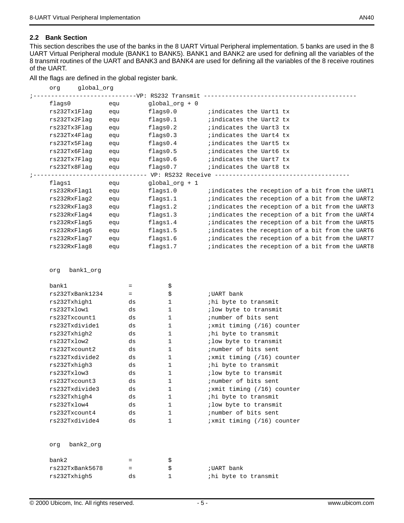#### **2.2 Bank Section**

This section describes the use of the banks in the 8 UART Virtual Peripheral implementation. 5 banks are used in the 8 UART Virtual Peripheral module (BANK1 to BANK5). BANK1 and BANK2 are used for defining all the variables of the 8 transmit routines of the UART and BANK3 and BANK4 are used for defining all the variables of the 8 receive routines of the UART.

All the flags are defined in the global register bank.

| org          | qlobal_orq |     |                                                          |                                                 |  |  |  |  |
|--------------|------------|-----|----------------------------------------------------------|-------------------------------------------------|--|--|--|--|
|              |            |     | ---------VP: RS232 Transmit                              |                                                 |  |  |  |  |
| flags0       |            | equ | $qlobal_$ g + 0                                          |                                                 |  |  |  |  |
| rs232Tx1Flaq |            | equ | flaqs0.0                                                 | ; indicates the Uart1 tx                        |  |  |  |  |
| rs232Tx2Flaq |            | equ | flags0.1                                                 | ; indicates the Uart2 tx                        |  |  |  |  |
| rs232Tx3Flaq |            | equ | flags0.2                                                 | ; indicates the Uart3 tx                        |  |  |  |  |
| rs232Tx4Flaq |            | equ | flags0.3                                                 | ; indicates the Uart4 tx                        |  |  |  |  |
| rs232Tx5Flaq |            | equ | flags0.4                                                 | ; indicates the Uart5 tx                        |  |  |  |  |
| rs232Tx6Flaq |            | equ | flaqs0.5                                                 | ; indicates the Uart6 tx                        |  |  |  |  |
| rs232Tx7Flaq |            | equ | flags0.6                                                 | ;indicates the Uart7 tx                         |  |  |  |  |
| rs232Tx8Flaq |            | equ | flags0.7                                                 | indicates the Uart8 tx                          |  |  |  |  |
|              |            |     | ------------------ VP: RS232 Receive ------------------- |                                                 |  |  |  |  |
| flags1       |            | equ | qlobal_org $+1$                                          |                                                 |  |  |  |  |
| rs232RxFlaq1 |            | equ | flags1.0                                                 | indicates the reception of a bit from the UART1 |  |  |  |  |
| rs232RxFlaq2 |            | equ | flags1.1                                                 | indicates the reception of a bit from the UART2 |  |  |  |  |
| rs232RxFlaq3 |            | equ | flags1.2                                                 | indicates the reception of a bit from the UART3 |  |  |  |  |
| rs232RxFlaq4 |            | equ | flags1.3                                                 | indicates the reception of a bit from the UART4 |  |  |  |  |
| rs232RxFlaq5 |            | equ | flags1.4                                                 | indicates the reception of a bit from the UART5 |  |  |  |  |
| rs232RxFlaq6 |            | equ | flags1.5                                                 | indicates the reception of a bit from the UART6 |  |  |  |  |
| rs232RxFlaq7 |            | equ | flags1.6                                                 | indicates the reception of a bit from the UART7 |  |  |  |  |
| rs232RxFlaq8 |            | equ | flags1.7                                                 | indicates the reception of a bit from the UART8 |  |  |  |  |
|              |            |     |                                                          |                                                 |  |  |  |  |

org bank1\_org

| bank1            | $=$ | \$           |                            |
|------------------|-----|--------------|----------------------------|
| rs232TxBank1234  | =   | \$           | ;UART bank                 |
| rs232Txhigh1     | ds  | $\mathbf{1}$ | ihi byte to transmit       |
| rs232Txlow1      | ds  | $\mathbf{1}$ | ilow byte to transmit      |
| rs232Txcount1    | ds  | $\mathbf{1}$ | inumber of bits sent       |
| rs232Txdivide1   | ds  | $\mathbf{1}$ | ixmit timing (/16) counter |
| rs232Txhigh2     | ds  | $\mathbf{1}$ | ihi byte to transmit       |
| rs232Txlow2      | ds  | $\mathbf{1}$ | ; low byte to transmit     |
| rs232Txcount2    | ds  | $\mathbf{1}$ | inumber of bits sent       |
| rs232Txdivide2   | ds  | $\mathbf{1}$ | ixmit timing (/16) counter |
| rs232Txhigh3     | ds  | $\mathbf{1}$ | ihi byte to transmit       |
| rs232Txlow3      | ds  | $\mathbf{1}$ | ilow byte to transmit      |
| rs232Txcount3    | ds  | $\mathbf{1}$ | inumber of bits sent       |
| rs232Txdivide3   | ds  | $\mathbf{1}$ | ixmit timing (/16) counter |
| rs232Txhigh4     | ds  | $\mathbf{1}$ | ihi byte to transmit       |
| rs232Txlow4      | ds  | $\mathbf{1}$ | ilow byte to transmit      |
| rs232Txcount4    | ds  | $\mathbf{1}$ | inumber of bits sent       |
| rs232Txdivide4   | ds  | 1            | ixmit timing (/16) counter |
|                  |     |              |                            |
| bank2_org<br>orq |     |              |                            |
| bank2            | $=$ | \$           |                            |

 $rs232TxBank5678$  =  $\qquad \qquad$ \$ ;UART bank

rs232Txhigh5 ds 1 ;hi byte to transmit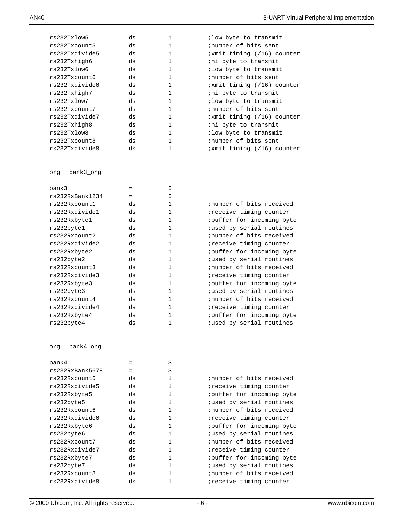| rs232Txlow5      | ds  | $\mathbf{1}$ | ; low byte to transmit     |
|------------------|-----|--------------|----------------------------|
| rs232Txcount5    | ds  | $\mathbf{1}$ | inumber of bits sent       |
| rs232Txdivide5   | ds  | $\mathbf{1}$ | ;xmit timing (/16) counter |
| rs232Txhigh6     | ds  | $\mathbf{1}$ | ihi byte to transmit       |
| rs232Txlow6      | ds  | $\mathbf{1}$ | ; low byte to transmit     |
| rs232Txcount6    | ds  | $\mathbf{1}$ | inumber of bits sent       |
| rs232Txdivide6   | ds  | $\mathbf{1}$ | ;xmit timing (/16) counter |
| rs232Txhigh7     | ds  | $\mathbf{1}$ | ihi byte to transmit       |
| rs232Txlow7      | ds  | $\mathbf{1}$ | ; low byte to transmit     |
| rs232Txcount7    | ds  | $\mathbf{1}$ | inumber of bits sent       |
| rs232Txdivide7   | ds  | $\mathbf{1}$ | ;xmit timing (/16) counter |
| rs232Txhigh8     | ds  | $\mathbf{1}$ | ihi byte to transmit       |
| rs232Txlow8      | ds  | $\mathbf{1}$ | ; low byte to transmit     |
| rs232Txcount8    | ds  | $\mathbf{1}$ | inumber of bits sent       |
| rs232Txdivide8   | ds  | 1            | ;xmit timing (/16) counter |
|                  |     |              |                            |
| bank3_org<br>orq |     |              |                            |
| bank3            | $=$ | \$           |                            |
| rs232RxBank1234  | $=$ | \$           |                            |
| rs232Rxcount1    | ds  | 1            | inumber of bits received   |
| rs232Rxdivide1   | ds  | $\mathbf{1}$ | ireceive timing counter    |
| rs232Rxbyte1     | ds  | $\mathbf{1}$ | ibuffer for incoming byte  |
| rs232byte1       | ds  | $\mathbf{1}$ | jused by serial routines   |
| rs232Rxcount2    | ds  | $\mathbf{1}$ | ; number of bits received  |
| rs232Rxdivide2   | ds  | $\mathbf{1}$ | ireceive timing counter    |
| rs232Rxbyte2     | ds  | $\mathbf{1}$ | ibuffer for incoming byte  |
| rs232byte2       | ds  | $\mathbf{1}$ | jused by serial routines   |
| rs232Rxcount3    | ds  | $\mathbf{1}$ | ; number of bits received  |
| rs232Rxdivide3   | ds  | 1            | ireceive timing counter    |
| rs232Rxbyte3     | ds  | 1            | ibuffer for incoming byte  |
| rs232byte3       | ds  | 1            | jused by serial routines   |
| rs232Rxcount4    | ds  | $\mathbf{1}$ | ; number of bits received  |
| rs232Rxdivide4   | ds  | 1            | ireceive timing counter    |
| rs232Rxbyte4     | ds  | 1            | ibuffer for incoming byte  |
| rs232byte4       | ds  | 1            | jused by serial routines   |
|                  |     |              |                            |
| bank4_org<br>org |     |              |                            |
| bank4            | $=$ | \$           |                            |
| rs232RxBank5678  | $=$ | \$           |                            |
| rs232Rxcount5    | ds  | 1            | ; number of bits received  |
| rs232Rxdivide5   | ds  | 1            | ireceive timing counter    |
| rs232Rxbyte5     | ds  | 1            | ;buffer for incoming byte  |
| rs232byte5       | ds  | 1            | jused by serial routines   |
| rs232Rxcount6    | ds  | 1            | ; number of bits received  |
| rs232Rxdivide6   | ds  | 1            | ireceive timing counter    |
| rs232Rxbyte6     | ds  | 1            | ;buffer for incoming byte  |
| rs232byte6       | ds  | 1            | jused by serial routines   |
| rs232Rxcount7    | ds  | 1            | ;number of bits received   |
|                  |     |              |                            |

rs232Rxdivide7 ds 1 ;receive timing counter rs232Rxbyte7 ds 1 ;buffer for incoming byte rs232byte7 ds 1 ;used by serial routines rs232Rxcount8 ds 1 inumber of bits received rs232Rxdivide8 ds 1 ;receive timing counter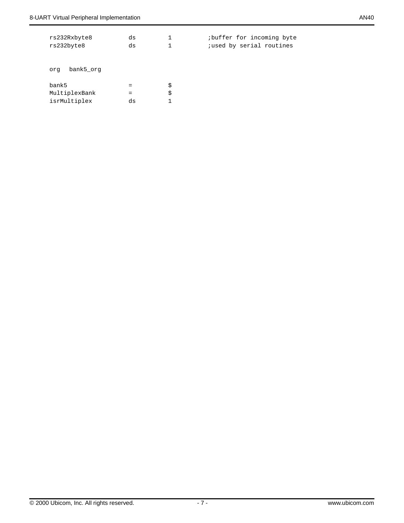| rs232Rxbyte8<br>rs232byte8             | ds<br>ds         | 1        | ibuffer for incoming byte<br>jused by serial routines |
|----------------------------------------|------------------|----------|-------------------------------------------------------|
| bank5 org<br>org                       |                  |          |                                                       |
| bank5<br>MultiplexBank<br>isrMultiplex | $=$<br>$=$<br>ds | \$<br>\$ |                                                       |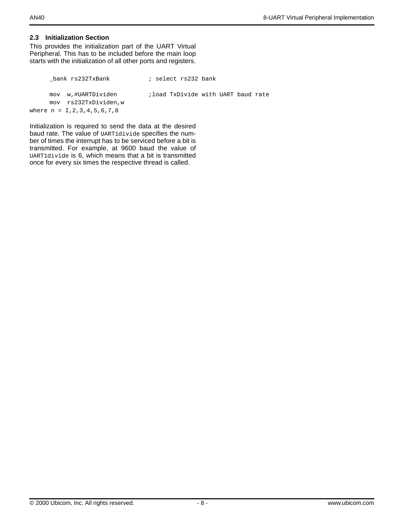#### **2.3 Initialization Section**

This provides the initialization part of the UART Virtual Peripheral. This has to be included before the main loop starts with the initialization of all other ports and registers.

```
_bank rs232TxBank ; select rs232 bank
     mov w,#UARTDividen ;load TxDivide with UART baud rate
     mov rs232TxDividen,w
where n = 1, 2, 3, 4, 5, 6, 7, 8
```
Initialization is required to send the data at the desired baud rate. The value of UART1divide specifies the number of times the interrupt has to be serviced before a bit is transmitted. For example, at 9600 baud the value of UART1divide is 6, which means that a bit is transmitted once for every six times the respective thread is called.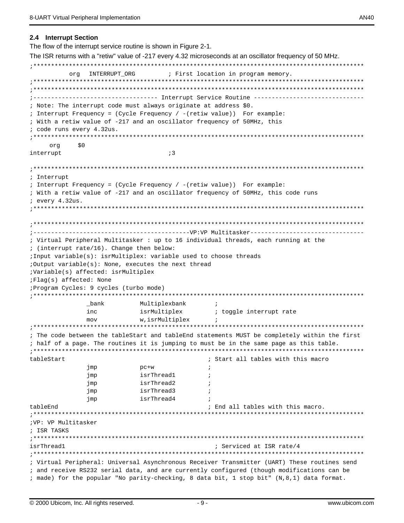The flow of the interrupt service routine is shown in Figure 2-1.

The ISR returns with a "retiw" value of -217 every 4.32 microseconds at an oscillator frequency of 50 MHz. ;\*\*\*\*\*\*\*\*\*\*\*\*\*\*\*\*\*\*\*\*\*\*\*\*\*\*\*\*\*\*\*\*\*\*\*\*\*\*\*\*\*\*\*\*\*\*\*\*\*\*\*\*\*\*\*\*\*\*\*\*\*\*\*\*\*\*\*\*\*\*\*\*\*\*\*\*\*\*\*\*\*\*\*\*\*\*\*\*\*\*\*\*\* org INTERRUPT ORG  $\qquad$  ; First location in program memory. ;\*\*\*\*\*\*\*\*\*\*\*\*\*\*\*\*\*\*\*\*\*\*\*\*\*\*\*\*\*\*\*\*\*\*\*\*\*\*\*\*\*\*\*\*\*\*\*\*\*\*\*\*\*\*\*\*\*\*\*\*\*\*\*\*\*\*\*\*\*\*\*\*\*\*\*\*\*\*\*\*\*\*\*\*\*\*\*\*\*\*\*\*\* ;\*\*\*\*\*\*\*\*\*\*\*\*\*\*\*\*\*\*\*\*\*\*\*\*\*\*\*\*\*\*\*\*\*\*\*\*\*\*\*\*\*\*\*\*\*\*\*\*\*\*\*\*\*\*\*\*\*\*\*\*\*\*\*\*\*\*\*\*\*\*\*\*\*\*\*\*\*\*\*\*\*\*\*\*\*\*\*\*\*\*\*\*\* ;----------------------------------- Interrupt Service Routine ------------------------------- ; Note: The interrupt code must always originate at address \$0. ; Interrupt Frequency = (Cycle Frequency / -(retiw value)) For example: ; With a retiw value of -217 and an oscillator frequency of 50MHz, this ; code runs every 4.32us. ;\*\*\*\*\*\*\*\*\*\*\*\*\*\*\*\*\*\*\*\*\*\*\*\*\*\*\*\*\*\*\*\*\*\*\*\*\*\*\*\*\*\*\*\*\*\*\*\*\*\*\*\*\*\*\*\*\*\*\*\*\*\*\*\*\*\*\*\*\*\*\*\*\*\*\*\*\*\*\*\*\*\*\*\*\*\*\*\*\*\*\*\*\* org \$0 interrupt  $;3$ ;\*\*\*\*\*\*\*\*\*\*\*\*\*\*\*\*\*\*\*\*\*\*\*\*\*\*\*\*\*\*\*\*\*\*\*\*\*\*\*\*\*\*\*\*\*\*\*\*\*\*\*\*\*\*\*\*\*\*\*\*\*\*\*\*\*\*\*\*\*\*\*\*\*\*\*\*\*\*\*\*\*\*\*\*\*\*\*\*\*\*\*\*\* ; Interrupt ; Interrupt Frequency = (Cycle Frequency / -(retiw value)) For example: ; With a retiw value of -217 and an oscillator frequency of 50MHz, this code runs ; every 4.32us. ;\*\*\*\*\*\*\*\*\*\*\*\*\*\*\*\*\*\*\*\*\*\*\*\*\*\*\*\*\*\*\*\*\*\*\*\*\*\*\*\*\*\*\*\*\*\*\*\*\*\*\*\*\*\*\*\*\*\*\*\*\*\*\*\*\*\*\*\*\*\*\*\*\*\*\*\*\*\*\*\*\*\*\*\*\*\*\*\*\*\*\*\*\* ;\*\*\*\*\*\*\*\*\*\*\*\*\*\*\*\*\*\*\*\*\*\*\*\*\*\*\*\*\*\*\*\*\*\*\*\*\*\*\*\*\*\*\*\*\*\*\*\*\*\*\*\*\*\*\*\*\*\*\*\*\*\*\*\*\*\*\*\*\*\*\*\*\*\*\*\*\*\*\*\*\*\*\*\*\*\*\*\*\*\*\*\*\* ;--------------------------------------------VP:VP Multitasker-------------------------------- ; Virtual Peripheral Multitasker : up to 16 individual threads, each running at the ; (interrupt rate/16). Change then below: ;Input variable(s): isrMultiplex: variable used to choose threads ;Output variable(s): None, executes the next thread ;Variable(s) affected: isrMultiplex ;Flag(s) affected: None ;Program Cycles: 9 cycles (turbo mode) ;\*\*\*\*\*\*\*\*\*\*\*\*\*\*\*\*\*\*\*\*\*\*\*\*\*\*\*\*\*\*\*\*\*\*\*\*\*\*\*\*\*\*\*\*\*\*\*\*\*\*\*\*\*\*\*\*\*\*\*\*\*\*\*\*\*\*\*\*\*\*\*\*\*\*\*\*\*\*\*\*\*\*\*\*\*\*\*\*\*\*\*\*\* \_bank Multiplexbank ; inc isrMultiplex ; toggle interrupt rate mov w,isrMultiplex ;\*\*\*\*\*\*\*\*\*\*\*\*\*\*\*\*\*\*\*\*\*\*\*\*\*\*\*\*\*\*\*\*\*\*\*\*\*\*\*\*\*\*\*\*\*\*\*\*\*\*\*\*\*\*\*\*\*\*\*\*\*\*\*\*\*\*\*\*\*\*\*\*\*\*\*\*\*\*\*\*\*\*\*\*\*\*\*\*\*\*\*\*\* ; The code between the tableStart and tableEnd statements MUST be completely within the first ; half of a page. The routines it is jumping to must be in the same page as this table. ;\*\*\*\*\*\*\*\*\*\*\*\*\*\*\*\*\*\*\*\*\*\*\*\*\*\*\*\*\*\*\*\*\*\*\*\*\*\*\*\*\*\*\*\*\*\*\*\*\*\*\*\*\*\*\*\*\*\*\*\*\*\*\*\*\*\*\*\*\*\*\*\*\*\*\*\*\*\*\*\*\*\*\*\*\*\*\*\*\*\*\*\*\* tableStart ; Start all tables with this macro jmp pc+w ; jmp isrThread1 ; jmp isrThread2 ; jmp isrThread3 ; jmp isrThread4 tableEnd ; End all tables with this macro. ;\*\*\*\*\*\*\*\*\*\*\*\*\*\*\*\*\*\*\*\*\*\*\*\*\*\*\*\*\*\*\*\*\*\*\*\*\*\*\*\*\*\*\*\*\*\*\*\*\*\*\*\*\*\*\*\*\*\*\*\*\*\*\*\*\*\*\*\*\*\*\*\*\*\*\*\*\*\*\*\*\*\*\*\*\*\*\*\*\*\*\*\*\* ;VP: VP Multitasker ; ISR TASKS ;\*\*\*\*\*\*\*\*\*\*\*\*\*\*\*\*\*\*\*\*\*\*\*\*\*\*\*\*\*\*\*\*\*\*\*\*\*\*\*\*\*\*\*\*\*\*\*\*\*\*\*\*\*\*\*\*\*\*\*\*\*\*\*\*\*\*\*\*\*\*\*\*\*\*\*\*\*\*\*\*\*\*\*\*\*\*\*\*\*\*\*\*\* isrThread1  $\qquad \qquad ;$  Serviced at ISR rate/4 ;\*\*\*\*\*\*\*\*\*\*\*\*\*\*\*\*\*\*\*\*\*\*\*\*\*\*\*\*\*\*\*\*\*\*\*\*\*\*\*\*\*\*\*\*\*\*\*\*\*\*\*\*\*\*\*\*\*\*\*\*\*\*\*\*\*\*\*\*\*\*\*\*\*\*\*\*\*\*\*\*\*\*\*\*\*\*\*\*\*\*\*\*\* ; Virtual Peripheral: Universal Asynchronous Receiver Transmitter (UART) These routines send ; and receive RS232 serial data, and are currently configured (though modifications can be

; made) for the popular "No parity-checking, 8 data bit, 1 stop bit" (N,8,1) data format.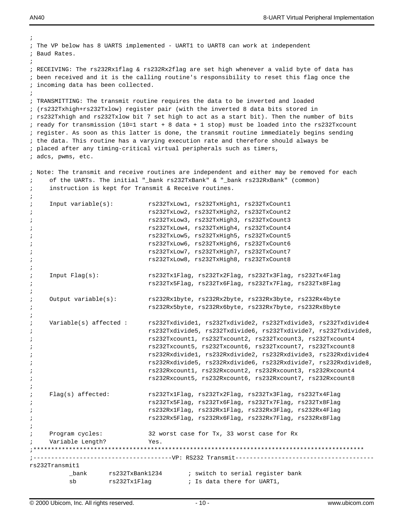;

```
; The VP below has 8 UARTS implemented - UART1 to UART8 can work at independent 
; Baud Rates.
;
; RECEIVING: The rs232Rx1flag & rs232Rx2flag are set high whenever a valid byte of data has 
; been received and it is the calling routine's responsibility to reset this flag once the
; incoming data has been collected.
;
; TRANSMITTING: The transmit routine requires the data to be inverted and loaded 
; (rs232Txhigh+rs232Txlow) register pair (with the inverted 8 data bits stored in
; rs232Txhigh and rs232Txlow bit 7 set high to act as a start bit). Then the number of bits
; ready for transmission (10=1 start + 8 data + 1 stop) must be loaded into the rs232Txcount
; register. As soon as this latter is done, the transmit routine immediately begins sending
; the data. This routine has a varying execution rate and therefore should always be
; placed after any timing-critical virtual peripherals such as timers,
; adcs, pwms, etc.
; Note: The transmit and receive routines are independent and either may be removed for each
; of the UARTs. The initial "_bank rs232TxBank" & "_bank rs232RxBank" (common)
; instruction is kept for Transmit & Receive routines.
;
; Input variable(s): rs232TxLow1, rs232TxHigh1, rs232TxCount1
; rs232TxLow2, rs232TxHigh2, rs232TxCount2
; rs232TxLow3, rs232TxHigh3, rs232TxCount3
; rs232TxLow4, rs232TxHigh4, rs232TxCount4
; rs232TxLow5, rs232TxHigh5, rs232TxCount5
                             ; rs232TxLow6, rs232TxHigh6, rs232TxCount6
; rs232TxLow7, rs232TxHigh7, rs232TxCount7
                             ; rs232TxLow8, rs232TxHigh8, rs232TxCount8
;
; Input Flag(s): rs232Tx1Flag, rs232Tx2Flag, rs232Tx3Flag, rs232Tx4Flag
; rs232Tx5Flag, rs232Tx6Flag, rs232Tx7Flag, rs232Tx8Flag 
\mathcal{L} is the contract of \mathcal{L}; Output variable(s): rs232Rx1byte, rs232Rx2byte, rs232Rx3byte, rs232Rx4byte
; rs232Rx5byte, rs232Rx6byte, rs232Rx7byte, rs232Rx8byte
;
; Variable(s) affected : rs232Txdivide1, rs232Txdivide2, rs232Txdivide3, rs232Txdivide4 
                             ; rs232Txdivide5, rs232Txdivide6, rs232Txdivide7, rs232Txdivide8,
; rs232Txcount1, rs232Txcount2, rs232Txcount3, rs232Txcount4
                             ; rs232Txcount5, rs232Txcount6, rs232Txcount7, rs232Txcount8
                             ; rs232Rxdivide1, rs232Rxdivide2, rs232Rxdivide3, rs232Rxdivide4 
                             ; rs232Rxdivide5, rs232Rxdivide6, rs232Rxdivide7, rs232Rxdivide8,
                             ; rs232Rxcount1, rs232Rxcount2, rs232Rxcount3, rs232Rxcount4
; rs232Rxcount5, rs232Rxcount6, rs232Rxcount7, rs232Rxcount8
;
; Flag(s) affected: rs232Tx1Flag, rs232Tx2Flag, rs232Tx3Flag, rs232Tx4Flag
; rs232Tx5Flag, rs232Tx6Flag, rs232Tx7Flag, rs232Tx8Flag 
; rs232Rx1Flag, rs232Rx1Flag, rs232Rx3Flag, rs232Rx4Flag
; rs232Rx5Flag, rs232Rx6Flag, rs232Rx7Flag, rs232Rx8Flag
;
; Program cycles: 32 worst case for Tx, 33 worst case for Rx
    Variable Length? Yes.
;*********************************************************************************************
;---------------------------------------VP: RS232 Transmit---------------------------------------
rs232Transmit1 
          _bank rs232TxBank1234 ; switch to serial register bank 
          sb rs232Tx1Flag ; Is data there for UART1,
```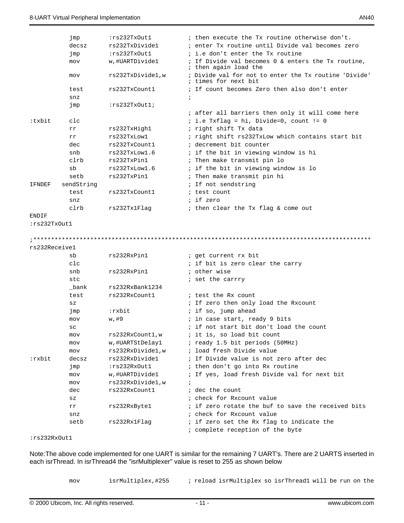|               | jmp             | :rs232TxOut1     | ; then execute the Tx routine otherwise don't.                                |
|---------------|-----------------|------------------|-------------------------------------------------------------------------------|
|               | decsz           | rs232TxDivide1   | ; enter Tx routine until Divide val becomes zero                              |
|               | jmp             | :rs232TxOut1     | ; i.e don't enter the Tx routine                                              |
|               | mov             | w,#UARTDivide1   | ; If Divide val becomes 0 & enters the Tx routine,<br>; then again load the   |
|               | mov             | rs232TxDivide1,w | ; Divide val for not to enter the Tx routine 'Divide'<br>; times for next bit |
|               | test            | rs232TxCount1    | ; If count becomes Zero then also don't enter                                 |
|               | snz             |                  | ÷,                                                                            |
|               | jmp             | :rs232TxOut1;    |                                                                               |
|               |                 |                  | ; after all barriers then only it will come here                              |
| :txbit        | clc             |                  | $i$ i.e Txflag = hi, Divide=0, count != 0                                     |
|               | rr              | rs232TxHigh1     | ; right shift Tx data                                                         |
|               | rr              | rs232TxLow1      | ; right shift rs232TxLow which contains start bit                             |
|               | dec             | rs232TxCount1    | ; decrement bit counter                                                       |
|               | snb             | rs232TxLow1.6    | ; if the bit in viewing window is hi                                          |
|               | clrb            | rs232TxPin1      | ; Then make transmit pin lo                                                   |
|               | sb              | rs232TxLow1.6    | ; if the bit in viewing window is lo                                          |
|               | setb            | rs232TxPin1      | ; Then make transmit pin hi                                                   |
| IFNDEF        | sendString      |                  | ; If not sendstring                                                           |
|               | test            | rs232TxCount1    | ; test count                                                                  |
|               | snz             |                  | ; if zero                                                                     |
|               | clrb            | rs232Tx1Flaq     | ; then clear the Tx flag & come out                                           |
| ENDIF         |                 |                  |                                                                               |
| :rs232TxOut1  |                 |                  |                                                                               |
|               |                 |                  |                                                                               |
|               |                 |                  |                                                                               |
| rs232Receive1 |                 |                  |                                                                               |
|               | sb              | rs232RxPin1      |                                                                               |
|               | $_{\text{clc}}$ |                  | ; get current rx bit                                                          |
|               | snb             | rs232RxPin1      | ; if bit is zero clear the carry<br>; other wise                              |
|               | stc             |                  |                                                                               |
|               | bank            | rs232RxBank1234  | ; set the carrry                                                              |
|               | test            | rs232RxCount1    | ; test the Rx count                                                           |
|               | $_{\rm SZ}$     |                  | ; If zero then only load the Rxcount                                          |
|               | jmp             | :rxbit           | ; if so, jump ahead                                                           |
|               | mov             | w,#9             | ; in case start, ready 9 bits                                                 |
|               | SC              |                  | ; if not start bit don't load the count                                       |
|               | mov             | rs232RxCount1,w  | ; it is, so load bit count                                                    |
|               | mov             | w,#UARTStDelay1  | ; ready 1.5 bit periods (50MHz)                                               |
|               | mov             | rs232RxDivide1,w | ; load fresh Divide value                                                     |
| ∶rxbit        | decsz           | rs232RxDivide1   | ; If Divide value is not zero after dec                                       |
|               | jmp             | :rs232RxOut1     | ; then don't go into Rx routine                                               |
|               | mov             | w,#UARTDivide1   | ; If yes, load fresh Divide val for next bit                                  |
|               | mov             | rs232RxDivide1,w | i.                                                                            |
|               | dec             | rs232RxCount1    | ; dec the count                                                               |
|               | $_{\rm SZ}$     |                  | ; check for Rxcount value                                                     |
|               | rr              | rs232RxByte1     | ; if zero rotate the buf to save the received bits                            |
|               | snz             |                  | ; check for Rxcount value                                                     |
|               | setb            | rs232Rx1Flag     | ; if zero set the Rx flag to indicate the                                     |

:rs232RxOut1

Note:The above code implemented for one UART is similar for the remaining 7 UART's. There are 2 UARTS inserted in each isrThread. In isrThread4 the "isrMultiplexer" value is reset to 255 as shown below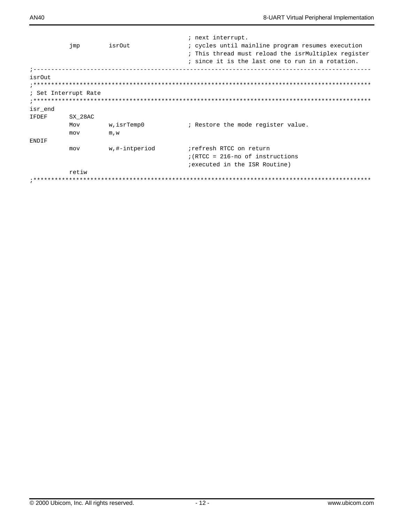|              | jmp                  | isrOut        | ; next interrupt.<br>; cycles until mainline program resumes execution<br>; This thread must reload the isrMultiplex register |
|--------------|----------------------|---------------|-------------------------------------------------------------------------------------------------------------------------------|
|              |                      |               | ; since it is the last one to run in a rotation.                                                                              |
| isrOut       |                      |               |                                                                                                                               |
|              | ; Set Interrupt Rate |               |                                                                                                                               |
| isr end      |                      |               |                                                                                                                               |
| <b>IFDEF</b> | SX 28AC              |               |                                                                                                                               |
|              | Mov                  | w, isrTemp0   | ; Restore the mode register value.                                                                                            |
|              | mov                  | m.w           |                                                                                                                               |
| ENDIF        |                      |               |                                                                                                                               |
|              | mov                  | w,#-intperiod | refresh RTCC on return                                                                                                        |
|              |                      |               | $(RTCC = 216 - no of instructions$                                                                                            |
|              |                      |               | <i>i</i> executed in the ISR Routine)                                                                                         |
|              | retiw                |               |                                                                                                                               |
|              |                      |               |                                                                                                                               |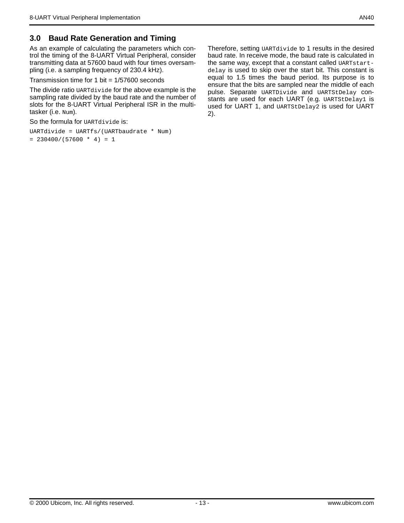# **3.0 Baud Rate Generation and Timing**

As an example of calculating the parameters which control the timing of the 8-UART Virtual Peripheral, consider transmitting data at 57600 baud with four times oversampling (i.e. a sampling frequency of 230.4 kHz).

Transmission time for 1 bit  $= 1/57600$  seconds

The divide ratio UARTdivide for the above example is the sampling rate divided by the baud rate and the number of slots for the 8-UART Virtual Peripheral ISR in the multitasker (i.e. Num).

So the formula for UARTdivide is:

```
UARTdivide = UARTfs/(UARTbaudrate * Num)
= 230400/(57600 * 4) = 1
```
Therefore, setting UARTdivide to 1 results in the desired baud rate. In receive mode, the baud rate is calculated in the same way, except that a constant called UARTstartdelay is used to skip over the start bit. This constant is equal to 1.5 times the baud period. Its purpose is to ensure that the bits are sampled near the middle of each pulse. Separate UARTDivide and UARTStDelay constants are used for each UART (e.g. UARTStDelay1 is used for UART 1, and UARTStDelay2 is used for UART 2).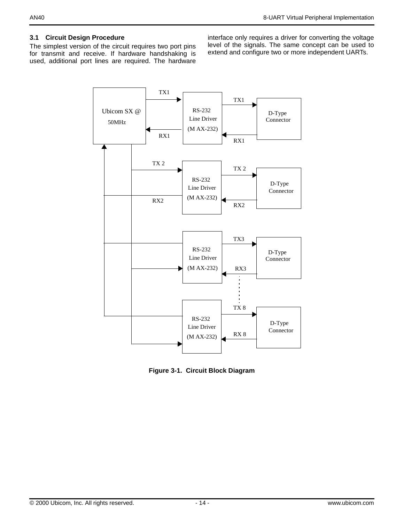## **3.1 Circuit Design Procedure**

The simplest version of the circuit requires two port pins for transmit and receive. If hardware handshaking is used, additional port lines are required. The hardware

interface only requires a driver for converting the voltage level of the signals. The same concept can be used to extend and configure two or more independent UARTs.



**Figure 3-1. Circuit Block Diagram**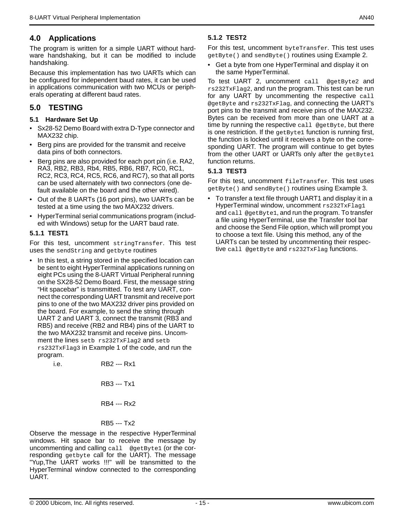# **4.0 Applications**

The program is written for a simple UART without hardware handshaking, but it can be modified to include handshaking.

Because this implementation has two UARTs which can be configured for independent baud rates, it can be used in applications communication with two MCUs or peripherals operating at different baud rates.

# **5.0 TESTING**

### **5.1 Hardware Set Up**

- Sx28-52 Demo Board with extra D-Type connector and MAX232 chip.
- Berg pins are provided for the transmit and receive data pins of both connectors.
- Berg pins are also provided for each port pin (i.e. RA2, RA3, RB2, RB3, Rb4, RB5, RB6, RB7, RC0, RC1, RC2, RC3, RC4, RC5, RC6, and RC7), so that all ports can be used alternately with two connectors (one default available on the board and the other wired).
- Out of the 8 UARTs (16 port pins), two UARTs can be tested at a time using the two MAX232 drivers.
- HyperTerminal serial communications program (included with Windows) setup for the UART baud rate.

## **5.1.1 TEST1**

For this test, uncomment stringTransfer. This test uses the sendString and getbyte routines

• In this test, a string stored in the specified location can be sent to eight HyperTerminal applications running on eight PCs using the 8-UART Virtual Peripheral running on the SX28-52 Demo Board. First, the message string "Hit spacebar" is transmitted. To test any UART, connect the corresponding UART transmit and receive port pins to one of the two MAX232 driver pins provided on the board. For example, to send the string through UART 2 and UART 3, connect the transmit (RB3 and RB5) and receive (RB2 and RB4) pins of the UART to the two MAX232 transmit and receive pins. Uncomment the lines setb rs232TxFlag2 and setb rs232TxFlag3 in Example 1 of the code, and run the program.

| <b>Le.</b> | RB2 --- Rx1 |  |
|------------|-------------|--|
|------------|-------------|--|

RB3 --- Tx1

RB4 --- Rx2

## RB5 --- Tx2

Observe the message in the respective HyperTerminal windows. Hit space bar to receive the message by uncommenting and calling call @getByte1 (or the corresponding getbyte call for the UART). The message "Yup,The UART works !!!" will be transmitted to the HyperTerminal window connected to the corresponding UART.

## **5.1.2 TEST2**

For this test, uncomment byteTransfer. This test uses getByte() and sendByte() routines using Example 2.

• Get a byte from one HyperTerminal and display it on the same HyperTerminal.

To test UART 2, uncomment call @getByte2 and rs232TxFlag2, and run the program. This test can be run for any UART by uncommenting the respective call @getByte and rs232TxFlag, and connecting the UART's port pins to the transmit and receive pins of the MAX232. Bytes can be received from more than one UART at a time by running the respective call @getByte, but there is one restriction. If the  $q$ et Byte1 function is running first, the function is locked until it receives a byte on the corresponding UART. The program will continue to get bytes from the other UART or UARTs only after the getByte1 function returns.

## **5.1.3 TEST3**

For this test, uncomment fileTransfer. This test uses getByte() and sendByte() routines using Example 3.

• To transfer a text file through UART1 and display it in a HyperTerminal window, uncomment rs232TxFlag1 and call @getByte1, and run the program. To transfer a file using HyperTerminal, use the Transfer tool bar and choose the Send File option, which will prompt you to choose a text file. Using this method, any of the UARTs can be tested by uncommenting their respective call @getByte and rs232TxFlag functions.